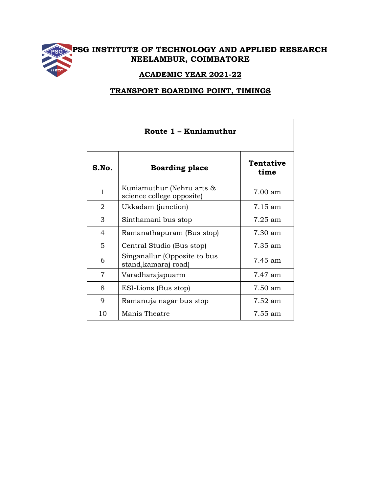

## **PSG INSTITUTE OF TECHNOLOGY AND APPLIED RESEARCH NEELAMBUR, COIMBATORE**

## **ACADEMIC YEAR 2021-22**

## **TRANSPORT BOARDING POINT, TIMINGS**

| Route 1 – Kuniamuthur |                                                        |                          |  |  |
|-----------------------|--------------------------------------------------------|--------------------------|--|--|
| S.No.                 | <b>Boarding place</b>                                  | <b>Tentative</b><br>time |  |  |
| $\mathbf{1}$          | Kuniamuthur (Nehru arts &<br>science college opposite) | 7.00 am                  |  |  |
| $\overline{2}$        | Ukkadam (junction)                                     | $7.15 \text{ am}$        |  |  |
| 3                     | Sinthamani bus stop                                    | $7.25$ am                |  |  |
| 4                     | Ramanathapuram (Bus stop)                              | 7.30 am                  |  |  |
| 5                     | Central Studio (Bus stop)                              | 7.35 am                  |  |  |
| 6                     | Singanallur (Opposite to bus<br>stand, kamaraj road)   | 7.45 am                  |  |  |
| $\overline{7}$        | Varadharajapuarm                                       | 7.47 am                  |  |  |
| 8                     | ESI-Lions (Bus stop)                                   | 7.50 am                  |  |  |
| 9                     | Ramanuja nagar bus stop                                | $7.52 \text{ am}$        |  |  |
| 10                    | Manis Theatre                                          | $7.55 \text{ am}$        |  |  |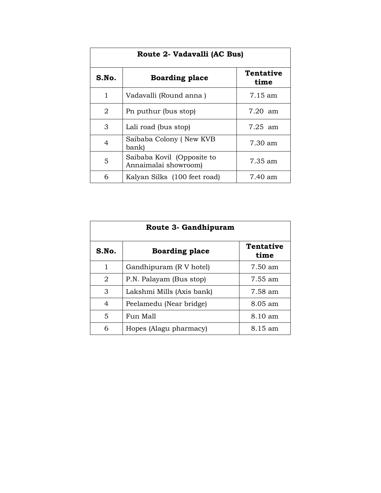| Route 2- Vadavalli (AC Bus) |                                                    |                          |  |  |
|-----------------------------|----------------------------------------------------|--------------------------|--|--|
| S.No.                       | <b>Boarding place</b>                              | <b>Tentative</b><br>time |  |  |
| 1                           | Vadavalli (Round anna)                             | $7.15 \text{ am}$        |  |  |
| 2                           | Pn puthur (bus stop)                               | $7.20~\text{am}$         |  |  |
| 3                           | Lali road (bus stop)                               | $7.25$ am                |  |  |
| 4                           | Saibaba Colony (New KVB<br>bank)                   | 7.30 am                  |  |  |
| 5                           | Saibaba Kovil (Opposite to<br>Annaimalai showroom) | 7.35 am                  |  |  |
| 6                           | Kalyan Silks (100 feet road)                       | 7.40 am                  |  |  |

| Route 3- Gandhipuram |                           |                          |  |  |
|----------------------|---------------------------|--------------------------|--|--|
| S.No.                | <b>Boarding place</b>     | <b>Tentative</b><br>time |  |  |
| 1                    | Gandhipuram (R V hotel)   | $7.50 \text{ am}$        |  |  |
| 2                    | P.N. Palayam (Bus stop)   | 7.55 am                  |  |  |
| 3                    | Lakshmi Mills (Axis bank) | 7.58 am                  |  |  |
| 4                    | Peelamedu (Near bridge)   | 8.05 am                  |  |  |
| 5                    | Fun Mall                  | $8.10 \text{ am}$        |  |  |
| 6                    | Hopes (Alagu pharmacy)    | 8.15 am                  |  |  |